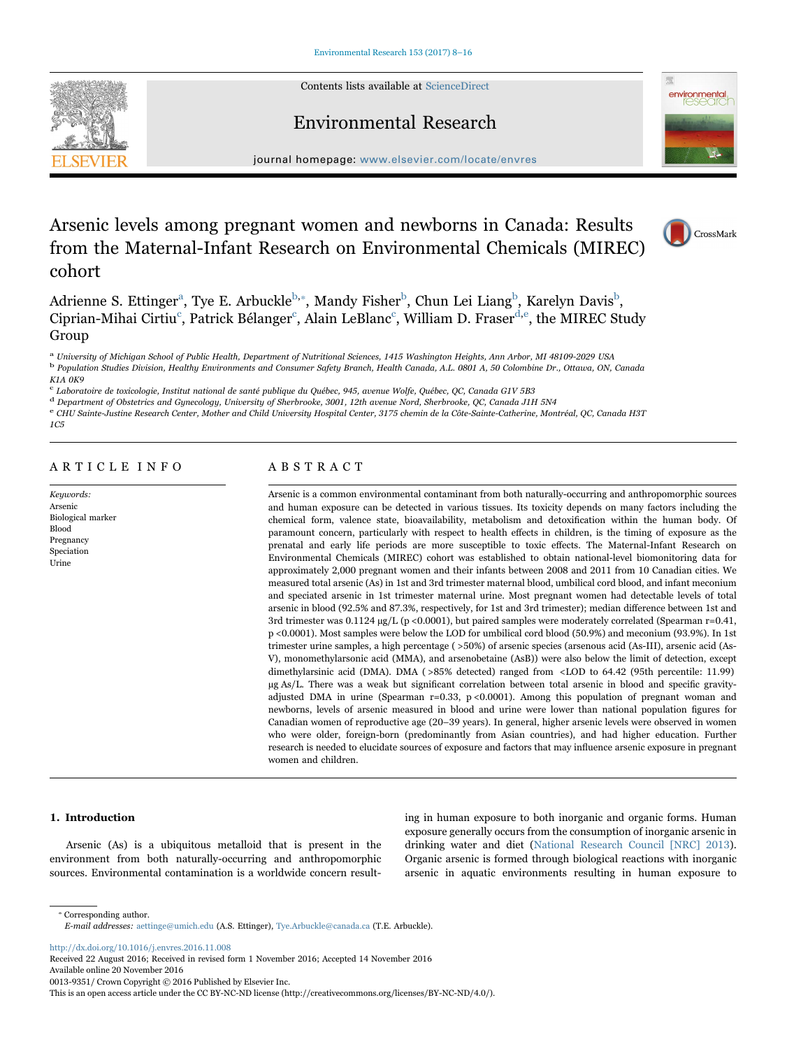Contents lists available at [ScienceDirect](http://www.sciencedirect.com/science/journal/00139351)

Environmental Research





journal homepage: [www.elsevier.com/locate/envres](http://www.elsevier.com/locate/envres)

# Arsenic levels among pregnant women and newborns in Canada: Results from the Maternal-Infant Research on Environmental Chemicals (MIREC) cohort



environmental

Adrienne S. Ettinger<sup>[a](#page-0-0)</sup>, Tye E. Ar[b](#page-0-1)uckle<sup>b,</sup>\*, Mandy Fisher<sup>b</sup>, Chun Lei Liang<sup>b</sup>, Karelyn Davis<sup>b</sup>, Ciprian-Mihai Cirtiu<sup>[c](#page-0-3)</sup>, Patrick Bélanger<sup>c</sup>, Alain LeBlanc<sup>c</sup>, William D. Fraser<sup>[d](#page-0-4)[,e](#page-0-5)</sup>, the MIREC Study Group

<span id="page-0-0"></span><sup>a</sup> University of Michigan School of Public Health, Department of Nutritional Sciences, 1415 Washington Heights, Ann Arbor, MI 48109-2029 USA

<span id="page-0-1"></span><sup>b</sup> Population Studies Division, Healthy Environments and Consumer Safety Branch, Health Canada, A.L. 0801 A, 50 Colombine Dr., Ottawa, ON, Canada K1A 0K9

<span id="page-0-3"></span><sup>c</sup> Laboratoire de toxicologie, Institut national de santé publique du Québec, 945, avenue Wolfe, Québec, QC, Canada G1V 5B3

<span id="page-0-5"></span>

<span id="page-0-4"></span>a concernent of Obstetrics and Gynecology, University of Sherbrooke, 3001, 12th avenue Nord, Sherbrooke, QC, Canada J1H 5N4<br>CHU Sainte-Justine Research Center. Mother and Child University Hospital Center. 3175 chemin de la 1C5

# ARTICLE INFO

Keywords: Arsenic Biological marker Blood Pregnancy Speciation Urine

# ABSTRACT

Arsenic is a common environmental contaminant from both naturally-occurring and anthropomorphic sources and human exposure can be detected in various tissues. Its toxicity depends on many factors including the chemical form, valence state, bioavailability, metabolism and detoxification within the human body. Of paramount concern, particularly with respect to health effects in children, is the timing of exposure as the prenatal and early life periods are more susceptible to toxic effects. The Maternal-Infant Research on Environmental Chemicals (MIREC) cohort was established to obtain national-level biomonitoring data for approximately 2,000 pregnant women and their infants between 2008 and 2011 from 10 Canadian cities. We measured total arsenic (As) in 1st and 3rd trimester maternal blood, umbilical cord blood, and infant meconium and speciated arsenic in 1st trimester maternal urine. Most pregnant women had detectable levels of total arsenic in blood (92.5% and 87.3%, respectively, for 1st and 3rd trimester); median difference between 1st and 3rd trimester was 0.1124 µg/L (p <0.0001), but paired samples were moderately correlated (Spearman r=0.41, p <0.0001). Most samples were below the LOD for umbilical cord blood (50.9%) and meconium (93.9%). In 1st trimester urine samples, a high percentage ( >50%) of arsenic species (arsenous acid (As-III), arsenic acid (As-V), monomethylarsonic acid (MMA), and arsenobetaine (AsB)) were also below the limit of detection, except dimethylarsinic acid (DMA). DMA ( >85% detected) ranged from <LOD to 64.42 (95th percentile: 11.99) µg As/L. There was a weak but significant correlation between total arsenic in blood and specific gravityadjusted DMA in urine (Spearman  $r=0.33$ ,  $p < 0.0001$ ). Among this population of pregnant woman and newborns, levels of arsenic measured in blood and urine were lower than national population figures for Canadian women of reproductive age (20–39 years). In general, higher arsenic levels were observed in women who were older, foreign-born (predominantly from Asian countries), and had higher education. Further research is needed to elucidate sources of exposure and factors that may influence arsenic exposure in pregnant women and children.

#### 1. Introduction

<span id="page-0-2"></span>⁎ Corresponding author.

Arsenic (As) is a ubiquitous metalloid that is present in the environment from both naturally-occurring and anthropomorphic sources. Environmental contamination is a worldwide concern resulting in human exposure to both inorganic and organic forms. Human exposure generally occurs from the consumption of inorganic arsenic in drinking water and diet [\(National Research Council \[NRC\] 2013\)](#page-7-0). Organic arsenic is formed through biological reactions with inorganic arsenic in aquatic environments resulting in human exposure to

E-mail addresses: aettinge@umich.edu (A.S. Ettinger), Tye.Arbuckle@canada.ca (T.E. Arbuckle).

<http://dx.doi.org/10.1016/j.envres.2016.11.008>

Received 22 August 2016; Received in revised form 1 November 2016; Accepted 14 November 2016

Available online 20 November 2016

0013-9351/ Crown Copyright © 2016 Published by Elsevier Inc.

This is an open access article under the CC BY-NC-ND license (http://creativecommons.org/licenses/BY-NC-ND/4.0/).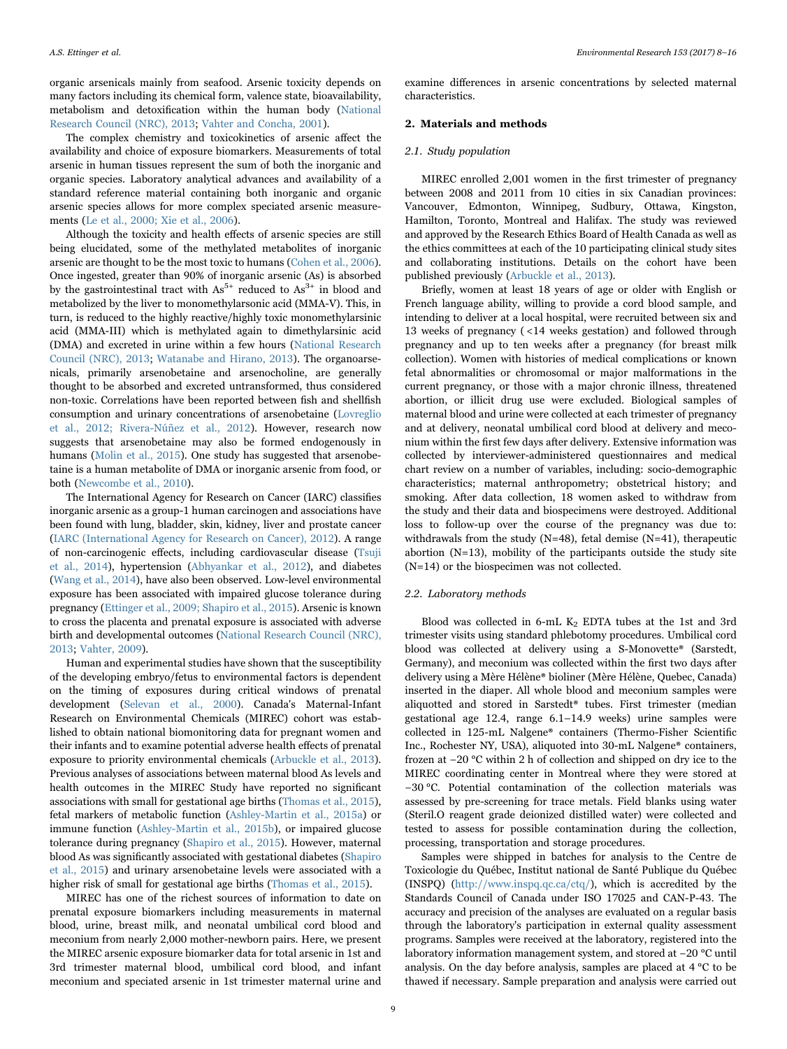organic arsenicals mainly from seafood. Arsenic toxicity depends on many factors including its chemical form, valence state, bioavailability, metabolism and detoxification within the human body [\(National](#page-7-0) [Research Council \(NRC\), 2013;](#page-7-0) [Vahter and Concha, 2001](#page-8-0)).

The complex chemistry and toxicokinetics of arsenic affect the availability and choice of exposure biomarkers. Measurements of total arsenic in human tissues represent the sum of both the inorganic and organic species. Laboratory analytical advances and availability of a standard reference material containing both inorganic and organic arsenic species allows for more complex speciated arsenic measurements [\(Le et al., 2000; Xie et al., 2006\)](#page-7-1).

Although the toxicity and health effects of arsenic species are still being elucidated, some of the methylated metabolites of inorganic arsenic are thought to be the most toxic to humans [\(Cohen et al., 2006\)](#page-7-2). Once ingested, greater than 90% of inorganic arsenic (As) is absorbed by the gastrointestinal tract with  $As^{5+}$  reduced to  $As^{3+}$  in blood and metabolized by the liver to monomethylarsonic acid (MMA-V). This, in turn, is reduced to the highly reactive/highly toxic monomethylarsinic acid (MMA-III) which is methylated again to dimethylarsinic acid (DMA) and excreted in urine within a few hours ([National Research](#page-7-0) [Council \(NRC\), 2013](#page-7-0); [Watanabe and Hirano, 2013\)](#page-8-1). The organoarsenicals, primarily arsenobetaine and arsenocholine, are generally thought to be absorbed and excreted untransformed, thus considered non-toxic. Correlations have been reported between fish and shellfish consumption and urinary concentrations of arsenobetaine ([Lovreglio](#page-7-3) [et al., 2012; Rivera-Núñez et al., 2012\)](#page-7-3). However, research now suggests that arsenobetaine may also be formed endogenously in humans ([Molin et al., 2015\)](#page-7-4). One study has suggested that arsenobetaine is a human metabolite of DMA or inorganic arsenic from food, or both [\(Newcombe et al., 2010\)](#page-7-5).

The International Agency for Research on Cancer (IARC) classifies inorganic arsenic as a group-1 human carcinogen and associations have been found with lung, bladder, skin, kidney, liver and prostate cancer ([IARC \(International Agency for Research on Cancer\), 2012\)](#page-7-6). A range of non-carcinogenic effects, including cardiovascular disease [\(Tsuji](#page-8-2) [et al., 2014\)](#page-8-2), hypertension ([Abhyankar et al., 2012](#page-6-0)), and diabetes ([Wang et al., 2014](#page-8-3)), have also been observed. Low-level environmental exposure has been associated with impaired glucose tolerance during pregnancy [\(Ettinger et al., 2009; Shapiro et al., 2015\)](#page-7-7). Arsenic is known to cross the placenta and prenatal exposure is associated with adverse birth and developmental outcomes ([National Research Council \(NRC\),](#page-7-0) [2013;](#page-7-0) [Vahter, 2009](#page-8-4)).

Human and experimental studies have shown that the susceptibility of the developing embryo/fetus to environmental factors is dependent on the timing of exposures during critical windows of prenatal development ([Selevan et al., 2000](#page-7-8)). Canada's Maternal-Infant Research on Environmental Chemicals (MIREC) cohort was established to obtain national biomonitoring data for pregnant women and their infants and to examine potential adverse health effects of prenatal exposure to priority environmental chemicals ([Arbuckle et al., 2013\)](#page-6-1). Previous analyses of associations between maternal blood As levels and health outcomes in the MIREC Study have reported no significant associations with small for gestational age births ([Thomas et al., 2015\)](#page-7-9), fetal markers of metabolic function ([Ashley-Martin et al., 2015a\)](#page-7-10) or immune function ([Ashley-Martin et al., 2015b](#page-7-11)), or impaired glucose tolerance during pregnancy ([Shapiro et al., 2015](#page-7-12)). However, maternal blood As was significantly associated with gestational diabetes [\(Shapiro](#page-7-12) [et al., 2015](#page-7-12)) and urinary arsenobetaine levels were associated with a higher risk of small for gestational age births [\(Thomas et al., 2015\)](#page-7-9).

MIREC has one of the richest sources of information to date on prenatal exposure biomarkers including measurements in maternal blood, urine, breast milk, and neonatal umbilical cord blood and meconium from nearly 2,000 mother-newborn pairs. Here, we present the MIREC arsenic exposure biomarker data for total arsenic in 1st and 3rd trimester maternal blood, umbilical cord blood, and infant meconium and speciated arsenic in 1st trimester maternal urine and

examine differences in arsenic concentrations by selected maternal characteristics.

## 2. Materials and methods

#### 2.1. Study population

MIREC enrolled 2,001 women in the first trimester of pregnancy between 2008 and 2011 from 10 cities in six Canadian provinces: Vancouver, Edmonton, Winnipeg, Sudbury, Ottawa, Kingston, Hamilton, Toronto, Montreal and Halifax. The study was reviewed and approved by the Research Ethics Board of Health Canada as well as the ethics committees at each of the 10 participating clinical study sites and collaborating institutions. Details on the cohort have been published previously [\(Arbuckle et al., 2013\)](#page-6-1).

Briefly, women at least 18 years of age or older with English or French language ability, willing to provide a cord blood sample, and intending to deliver at a local hospital, were recruited between six and 13 weeks of pregnancy ( <14 weeks gestation) and followed through pregnancy and up to ten weeks after a pregnancy (for breast milk collection). Women with histories of medical complications or known fetal abnormalities or chromosomal or major malformations in the current pregnancy, or those with a major chronic illness, threatened abortion, or illicit drug use were excluded. Biological samples of maternal blood and urine were collected at each trimester of pregnancy and at delivery, neonatal umbilical cord blood at delivery and meconium within the first few days after delivery. Extensive information was collected by interviewer-administered questionnaires and medical chart review on a number of variables, including: socio-demographic characteristics; maternal anthropometry; obstetrical history; and smoking. After data collection, 18 women asked to withdraw from the study and their data and biospecimens were destroyed. Additional loss to follow-up over the course of the pregnancy was due to: withdrawals from the study  $(N=48)$ , fetal demise  $(N=41)$ , therapeutic abortion (N=13), mobility of the participants outside the study site (N=14) or the biospecimen was not collected.

#### 2.2. Laboratory methods

Blood was collected in 6-mL  $K_2$  EDTA tubes at the 1st and 3rd trimester visits using standard phlebotomy procedures. Umbilical cord blood was collected at delivery using a S-Monovette® (Sarstedt, Germany), and meconium was collected within the first two days after delivery using a Mère Hélène® bioliner (Mère Hélène, Quebec, Canada) inserted in the diaper. All whole blood and meconium samples were aliquotted and stored in Sarstedt® tubes. First trimester (median gestational age 12.4, range 6.1–14.9 weeks) urine samples were collected in 125-mL Nalgene® containers (Thermo-Fisher Scientific Inc., Rochester NY, USA), aliquoted into 30-mL Nalgene® containers, frozen at −20 °C within 2 h of collection and shipped on dry ice to the MIREC coordinating center in Montreal where they were stored at −30 °C. Potential contamination of the collection materials was assessed by pre-screening for trace metals. Field blanks using water (Steril.O reagent grade deionized distilled water) were collected and tested to assess for possible contamination during the collection, processing, transportation and storage procedures.

Samples were shipped in batches for analysis to the Centre de Toxicologie du Québec, Institut national de Santé Publique du Québec (INSPQ) ([http://www.inspq.qc.ca/ctq/\)](http://www.inspq.qc.ca/ctq/), which is accredited by the Standards Council of Canada under ISO 17025 and CAN-P-43. The accuracy and precision of the analyses are evaluated on a regular basis through the laboratory's participation in external quality assessment programs. Samples were received at the laboratory, registered into the laboratory information management system, and stored at −20 °C until analysis. On the day before analysis, samples are placed at 4 °C to be thawed if necessary. Sample preparation and analysis were carried out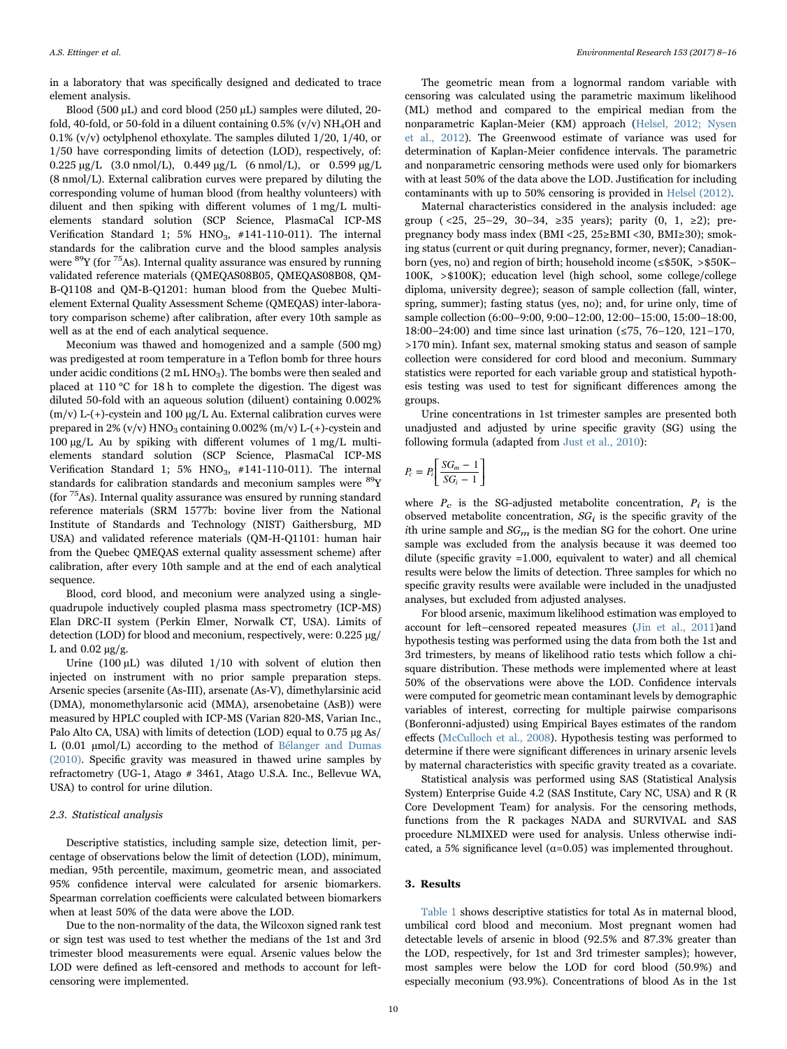in a laboratory that was specifically designed and dedicated to trace element analysis.

Blood (500 µL) and cord blood (250 µL) samples were diluted, 20fold, 40-fold, or 50-fold in a diluent containing  $0.5\%$  (v/v) NH<sub>4</sub>OH and 0.1% (v/v) octylphenol ethoxylate. The samples diluted 1/20, 1/40, or 1/50 have corresponding limits of detection (LOD), respectively, of: 0.225 μg/L (3.0 nmol/L), 0.449 μg/L (6 nmol/L), or 0.599 μg/L (8 nmol/L). External calibration curves were prepared by diluting the corresponding volume of human blood (from healthy volunteers) with diluent and then spiking with different volumes of 1 mg/L multielements standard solution (SCP Science, PlasmaCal ICP-MS Verification Standard 1: 5%  $HNO<sub>3</sub>$ , #141-110-011). The internal standards for the calibration curve and the blood samples analysis were  ${}^{89}Y$  (for  ${}^{75}As$ ). Internal quality assurance was ensured by running validated reference materials (QMEQAS08B05, QMEQAS08B08, QM-B-Q1108 and QM-B-Q1201: human blood from the Quebec Multielement External Quality Assessment Scheme (QMEQAS) inter-laboratory comparison scheme) after calibration, after every 10th sample as well as at the end of each analytical sequence.

Meconium was thawed and homogenized and a sample (500 mg) was predigested at room temperature in a Teflon bomb for three hours under acidic conditions  $(2 mL HNO<sub>3</sub>)$ . The bombs were then sealed and placed at 110 °C for 18 h to complete the digestion. The digest was diluted 50-fold with an aqueous solution (diluent) containing 0.002% (m/v) L-(+)-cystein and 100  $\mu$ g/L Au. External calibration curves were prepared in 2% (v/v)  $HNO<sub>3</sub>$  containing 0.002% (m/v) L-(+)-cystein and 100 µg/L Au by spiking with different volumes of 1 mg/L multielements standard solution (SCP Science, PlasmaCal ICP-MS Verification Standard 1; 5%  $HNO<sub>3</sub>$ , #141-110-011). The internal standards for calibration standards and meconium samples were <sup>89</sup>Y (for  $75$ As). Internal quality assurance was ensured by running standard reference materials (SRM 1577b: bovine liver from the National Institute of Standards and Technology (NIST) Gaithersburg, MD USA) and validated reference materials (QM-H-Q1101: human hair from the Quebec QMEQAS external quality assessment scheme) after calibration, after every 10th sample and at the end of each analytical sequence.

Blood, cord blood, and meconium were analyzed using a singlequadrupole inductively coupled plasma mass spectrometry (ICP-MS) Elan DRC-II system (Perkin Elmer, Norwalk CT, USA). Limits of detection (LOD) for blood and meconium, respectively, were: 0.225 µg/ L and  $0.02 \mu$ g.

Urine  $(100 \mu L)$  was diluted  $1/10$  with solvent of elution then injected on instrument with no prior sample preparation steps. Arsenic species (arsenite (As-III), arsenate (As-V), dimethylarsinic acid (DMA), monomethylarsonic acid (MMA), arsenobetaine (AsB)) were measured by HPLC coupled with ICP-MS (Varian 820-MS, Varian Inc., Palo Alto CA, USA) with limits of detection (LOD) equal to 0.75 µg As/ L  $(0.01 \mu \text{mol/L})$  according to the method of [Bélanger and Dumas](#page-7-13) [\(2010\).](#page-7-13) Specific gravity was measured in thawed urine samples by refractometry (UG-1, Atago # 3461, Atago U.S.A. Inc., Bellevue WA, USA) to control for urine dilution.

#### 2.3. Statistical analysis

Descriptive statistics, including sample size, detection limit, percentage of observations below the limit of detection (LOD), minimum, median, 95th percentile, maximum, geometric mean, and associated 95% confidence interval were calculated for arsenic biomarkers. Spearman correlation coefficients were calculated between biomarkers when at least 50% of the data were above the LOD.

Due to the non-normality of the data, the Wilcoxon signed rank test or sign test was used to test whether the medians of the 1st and 3rd trimester blood measurements were equal. Arsenic values below the LOD were defined as left-censored and methods to account for leftcensoring were implemented.

The geometric mean from a lognormal random variable with censoring was calculated using the parametric maximum likelihood (ML) method and compared to the empirical median from the nonparametric Kaplan-Meier (KM) approach [\(Helsel, 2012; Nysen](#page-7-14) [et al., 2012\)](#page-7-14). The Greenwood estimate of variance was used for determination of Kaplan-Meier confidence intervals. The parametric and nonparametric censoring methods were used only for biomarkers with at least 50% of the data above the LOD. Justification for including contaminants with up to 50% censoring is provided in [Helsel \(2012\)](#page-7-14).

Maternal characteristics considered in the analysis included: age group ( <25, 25–29, 30–34, ≥35 years); parity (0, 1, ≥2); prepregnancy body mass index (BMI <25, 25≥BMI <30, BMI≥30); smoking status (current or quit during pregnancy, former, never); Canadianborn (yes, no) and region of birth; household income (≤\$50K, >\$50K– 100K, >\$100K); education level (high school, some college/college diploma, university degree); season of sample collection (fall, winter, spring, summer); fasting status (yes, no); and, for urine only, time of sample collection (6:00–9:00, 9:00–12:00, 12:00–15:00, 15:00–18:00, 18:00–24:00) and time since last urination (≤75, 76–120, 121–170, >170 min). Infant sex, maternal smoking status and season of sample collection were considered for cord blood and meconium. Summary statistics were reported for each variable group and statistical hypothesis testing was used to test for significant differences among the groups.

Urine concentrations in 1st trimester samples are presented both unadjusted and adjusted by urine specific gravity (SG) using the following formula (adapted from [Just et al., 2010](#page-7-15)):

$$
P_c = P_i \left[ \frac{SG_m - 1}{SG_i - 1} \right]
$$

where  $P_c$  is the SG-adjusted metabolite concentration,  $P_i$  is the observed metabolite concentration,  $SG<sub>i</sub>$  is the specific gravity of the ith urine sample and  $SG_m$  is the median SG for the cohort. One urine sample was excluded from the analysis because it was deemed too dilute (specific gravity =1.000, equivalent to water) and all chemical results were below the limits of detection. Three samples for which no specific gravity results were available were included in the unadjusted analyses, but excluded from adjusted analyses.

For blood arsenic, maximum likelihood estimation was employed to account for left–censored repeated measures ([Jin et al., 2011](#page-7-16))and hypothesis testing was performed using the data from both the 1st and 3rd trimesters, by means of likelihood ratio tests which follow a chisquare distribution. These methods were implemented where at least 50% of the observations were above the LOD. Confidence intervals were computed for geometric mean contaminant levels by demographic variables of interest, correcting for multiple pairwise comparisons (Bonferonni-adjusted) using Empirical Bayes estimates of the random effects ([McCulloch et al., 2008\)](#page-7-17). Hypothesis testing was performed to determine if there were significant differences in urinary arsenic levels by maternal characteristics with specific gravity treated as a covariate.

Statistical analysis was performed using SAS (Statistical Analysis System) Enterprise Guide 4.2 (SAS Institute, Cary NC, USA) and R (R Core Development Team) for analysis. For the censoring methods, functions from the R packages NADA and SURVIVAL and SAS procedure NLMIXED were used for analysis. Unless otherwise indicated, a 5% significance level ( $\alpha$ =0.05) was implemented throughout.

## 3. Results

[Table 1](#page-3-0) shows descriptive statistics for total As in maternal blood, umbilical cord blood and meconium. Most pregnant women had detectable levels of arsenic in blood (92.5% and 87.3% greater than the LOD, respectively, for 1st and 3rd trimester samples); however, most samples were below the LOD for cord blood (50.9%) and especially meconium (93.9%). Concentrations of blood As in the 1st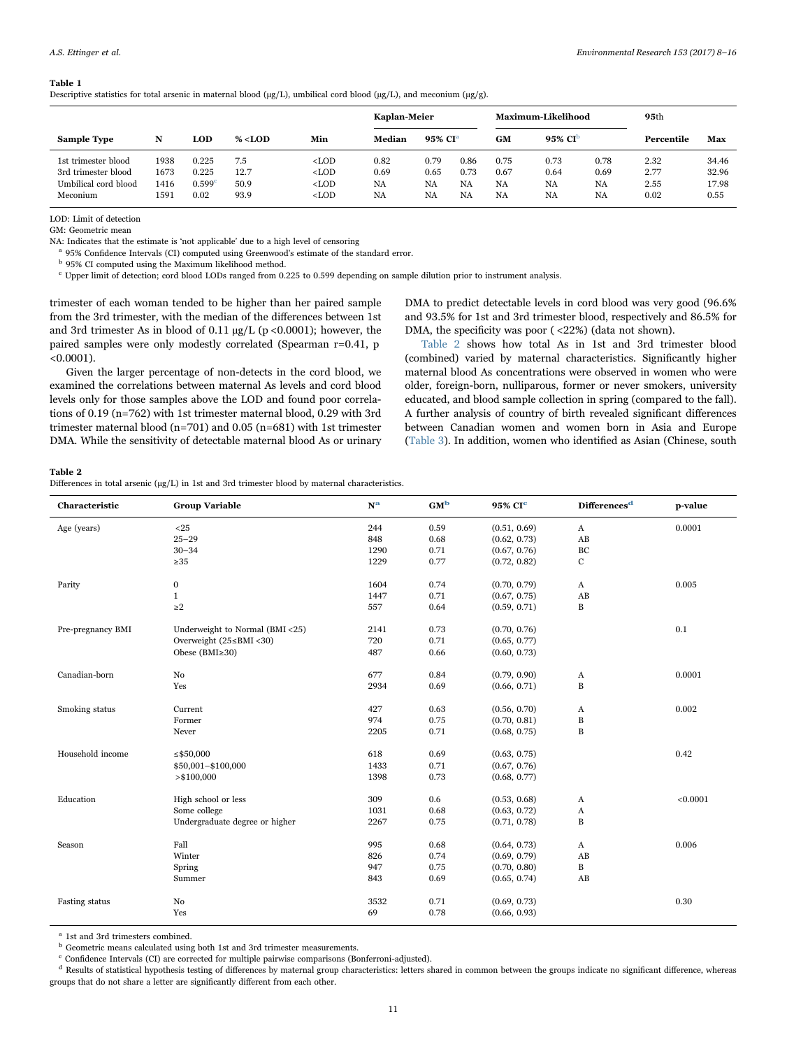## <span id="page-3-0"></span>Table 1

Descriptive statistics for total arsenic in maternal blood ( $\mu$ g/L), umbilical cord blood ( $\mu$ g/L), and meconium ( $\mu$ g/g).

|                      |      |                    |            |         | Kaplan-Meier |                     |      |      | Maximum-Likelihood  | 95 <sub>th</sub> |      |       |
|----------------------|------|--------------------|------------|---------|--------------|---------------------|------|------|---------------------|------------------|------|-------|
| <b>Sample Type</b>   | N    | LOD                | $\% <$ LOD | Min     | Median       | 95% CI <sup>a</sup> |      | GM   | 95% CI <sup>b</sup> | Percentile       |      | Max   |
| 1st trimester blood  | 1938 | 0.225              | 7.5        | $<$ LOD | 0.82         | 0.79                | 0.86 | 0.75 | 0.73                | 0.78             | 2.32 | 34.46 |
| 3rd trimester blood  | 1673 | 0.225              | 12.7       | $<$ LOD | 0.69         | 0.65                | 0.73 | 0.67 | 0.64                | 0.69             | 2.77 | 32.96 |
| Umbilical cord blood | 1416 | 0.599 <sup>c</sup> | 50.9       | $<$ LOD | <b>NA</b>    | NA                  | NA   | NA   | <b>NA</b>           | <b>NA</b>        | 2.55 | 17.98 |
| Meconium             | 1591 | 0.02               | 93.9       | $<$ LOD | <b>NA</b>    | NA                  | NA   | NA   | NA                  | NA               | 0.02 | 0.55  |

LOD: Limit of detection

GM: Geometric mean

NA: Indicates that the estimate is 'not applicable' due to a high level of censoring

<sup>4</sup> 95% Confidence Intervals (CI) computed using Greenwood's estimate of the standard error.

 $^{\rm b}$  95% CI computed using the Maximum likelihood method.

<sup>c</sup> Upper limit of detection; cord blood LODs ranged from 0.225 to 0.599 depending on sample dilution prior to instrument analysis.

trimester of each woman tended to be higher than her paired sample from the 3rd trimester, with the median of the differences between 1st and 3rd trimester As in blood of  $0.11 \mu g/L$  (p <0.0001); however, the paired samples were only modestly correlated (Spearman r=0.41, p  $< 0.0001$ ).

Given the larger percentage of non-detects in the cord blood, we examined the correlations between maternal As levels and cord blood levels only for those samples above the LOD and found poor correlations of 0.19 (n=762) with 1st trimester maternal blood, 0.29 with 3rd trimester maternal blood (n=701) and 0.05 (n=681) with 1st trimester DMA. While the sensitivity of detectable maternal blood As or urinary DMA to predict detectable levels in cord blood was very good (96.6% and 93.5% for 1st and 3rd trimester blood, respectively and 86.5% for DMA, the specificity was poor (<22%) (data not shown).

[Table 2](#page-3-1) shows how total As in 1st and 3rd trimester blood (combined) varied by maternal characteristics. Significantly higher maternal blood As concentrations were observed in women who were older, foreign-born, nulliparous, former or never smokers, university educated, and blood sample collection in spring (compared to the fall). A further analysis of country of birth revealed significant differences between Canadian women and women born in Asia and Europe ([Table 3](#page-4-0)). In addition, women who identified as Asian (Chinese, south

<span id="page-3-1"></span>Table 2

Differences in total arsenic ( $\mu$ g/L) in 1st and 3rd trimester blood by maternal characteristics.

| Characteristic    | <b>Group Variable</b>           | $N^{\mathbf{a}}$ | GM <sup>b</sup> | 95% CI <sup>e</sup> | Differences <sup>d</sup> | p-value  |
|-------------------|---------------------------------|------------------|-----------------|---------------------|--------------------------|----------|
| Age (years)       | $25$                            | 244              | 0.59            | (0.51, 0.69)        | $\boldsymbol{A}$         | 0.0001   |
|                   | $25 - 29$                       | 848              | 0.68            | (0.62, 0.73)        | AB                       |          |
|                   | $30 - 34$                       | 1290             | 0.71            | (0.67, 0.76)        | BC                       |          |
|                   | $\geq 35$                       | 1229             | 0.77            | (0.72, 0.82)        | $\mathbf{C}$             |          |
| Parity            | 0                               | 1604             | 0.74            | (0.70, 0.79)        | $\boldsymbol{A}$         | 0.005    |
|                   | $\mathbf{1}$                    | 1447             | 0.71            | (0.67, 0.75)        | AB                       |          |
|                   | $\geq$ 2                        | 557              | 0.64            | (0.59, 0.71)        | $\, {\bf B}$             |          |
| Pre-pregnancy BMI | Underweight to Normal (BMI <25) | 2141             | 0.73            | (0.70, 0.76)        |                          | 0.1      |
|                   | Overweight (25≤BMI <30)         | 720              | 0.71            | (0.65, 0.77)        |                          |          |
|                   | Obese $(BMI \geq 30)$           | 487              | 0.66            | (0.60, 0.73)        |                          |          |
| Canadian-born     | No                              | 677              | 0.84            | (0.79, 0.90)        | A                        | 0.0001   |
|                   | Yes                             | 2934             | 0.69            | (0.66, 0.71)        | $\, {\bf B}$             |          |
| Smoking status    | Current                         | 427              | 0.63            | (0.56, 0.70)        | A                        | 0.002    |
|                   | Former                          | 974              | 0.75            | (0.70, 0.81)        | B                        |          |
|                   | Never                           | 2205             | 0.71            | (0.68, 0.75)        | $\, {\bf B}$             |          |
| Household income  | $\leq$ \$50,000                 | 618              | 0.69            | (0.63, 0.75)        |                          | 0.42     |
|                   | \$50,001-\$100,000              | 1433             | 0.71            | (0.67, 0.76)        |                          |          |
|                   | > \$100,000                     | 1398             | 0.73            | (0.68, 0.77)        |                          |          |
| Education         | High school or less             | 309              | 0.6             | (0.53, 0.68)        | A                        | < 0.0001 |
|                   | Some college                    | 1031             | 0.68            | (0.63, 0.72)        | $\boldsymbol{\rm{A}}$    |          |
|                   | Undergraduate degree or higher  | 2267             | 0.75            | (0.71, 0.78)        | $\, {\bf B}$             |          |
| Season            | Fall                            | 995              | 0.68            | (0.64, 0.73)        | A                        | 0.006    |
|                   | Winter                          | 826              | 0.74            | (0.69, 0.79)        | AB                       |          |
|                   | Spring                          | 947              | 0.75            | (0.70, 0.80)        | $\, {\bf B}$             |          |
|                   | Summer                          | 843              | 0.69            | (0.65, 0.74)        | AB                       |          |
| Fasting status    | No                              | 3532             | 0.71            | (0.69, 0.73)        |                          | 0.30     |
|                   | Yes                             | 69               | 0.78            | (0.66, 0.93)        |                          |          |

<sup>a</sup> 1st and 3rd trimesters combined.

 $^{\rm b}$  Geometric means calculated using both 1st and 3rd trimester measurements.

<sup>c</sup> Confidence Intervals (CI) are corrected for multiple pairwise comparisons (Bonferroni-adjusted).

 $d$  Results of statistical hypothesis testing of differences by maternal group characteristics: letters shared in common between the groups indicate no significant difference, whereas groups that do not share a letter are significantly different from each other.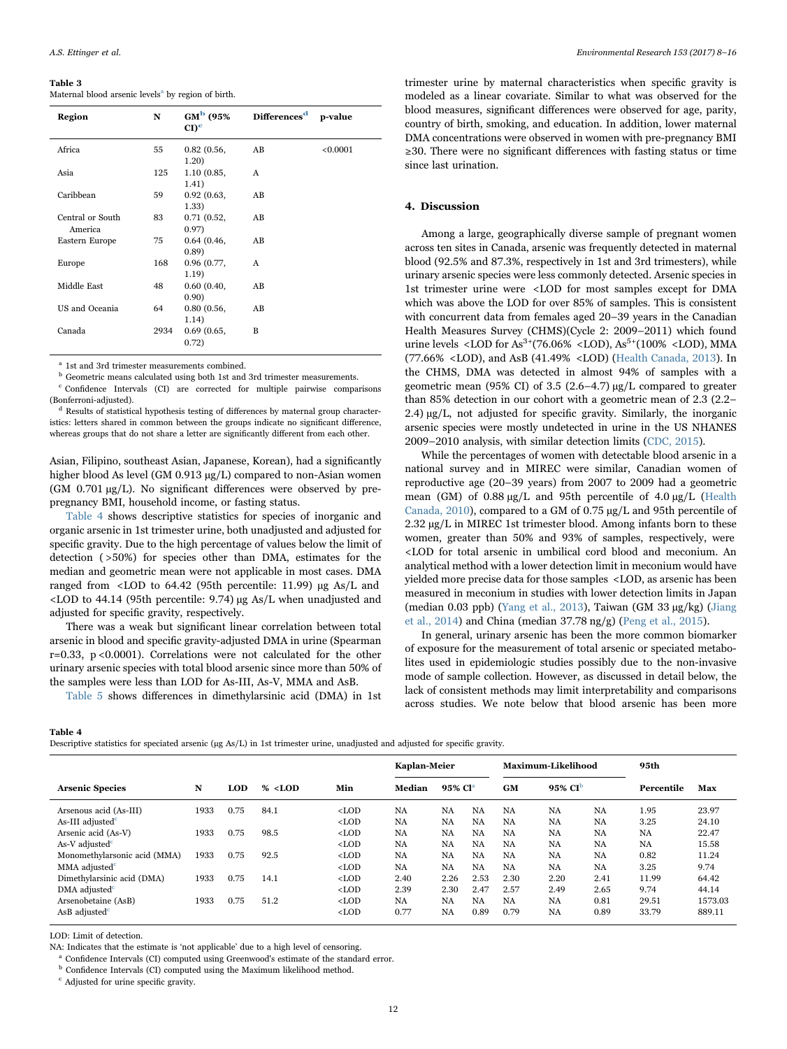#### <span id="page-4-0"></span>Table 3

Maternal blood arsenic levels<sup>a</sup> by region of birth.

| <b>Region</b>               | N    | $GM^{\rm b}$ (95%)<br>$CD^{\mathbf{c}}$ | Differences <sup>d</sup> | p-value  |
|-----------------------------|------|-----------------------------------------|--------------------------|----------|
| Africa                      | 55   | 0.82(0.56,<br>1.20)                     | AB                       | < 0.0001 |
| Asia                        | 125  | 1.10 (0.85,<br>1.41)                    | $\mathsf{A}$             |          |
| Caribbean                   | 59   | 0.92(0.63,<br>1.33)                     | AB                       |          |
| Central or South<br>America | 83   | 0.71(0.52,<br>0.97)                     | AB                       |          |
| Eastern Europe              | 75   | 0.64(0.46,<br>(0.89)                    | AB                       |          |
| Europe                      | 168  | 0.96(0.77,<br>1.19)                     | A                        |          |
| Middle East                 | 48   | 0.60(0.40,<br>0.90)                     | AB                       |          |
| US and Oceania              | 64   | 0.80(0.56,<br>1.14)                     | AB                       |          |
| Canada                      | 2934 | 0.69(0.65,<br>0.72)                     | B                        |          |

<sup>a</sup> 1st and 3rd trimester measurements combined

 $^{\rm b}$  Geometric means calculated using both 1st and 3rd trimester measurements.

<sup>c</sup> Confidence Intervals (CI) are corrected for multiple pairwise comparisons (Bonferroni-adjusted).

<sup>d</sup> Results of statistical hypothesis testing of differences by maternal group characteristics: letters shared in common between the groups indicate no significant difference, whereas groups that do not share a letter are significantly different from each other.

Asian, Filipino, southeast Asian, Japanese, Korean), had a significantly higher blood As level (GM 0.913 µg/L) compared to non-Asian women (GM 0.701 µg/L). No significant differences were observed by prepregnancy BMI, household income, or fasting status.

[Table 4](#page-4-1) shows descriptive statistics for species of inorganic and organic arsenic in 1st trimester urine, both unadjusted and adjusted for specific gravity. Due to the high percentage of values below the limit of detection ( >50%) for species other than DMA, estimates for the median and geometric mean were not applicable in most cases. DMA ranged from <LOD to 64.42 (95th percentile: 11.99) µg As/L and <LOD to 44.14 (95th percentile: 9.74) µg As/L when unadjusted and adjusted for specific gravity, respectively.

There was a weak but significant linear correlation between total arsenic in blood and specific gravity-adjusted DMA in urine (Spearman r=0.33, p <0.0001). Correlations were not calculated for the other urinary arsenic species with total blood arsenic since more than 50% of the samples were less than LOD for As-III, As-V, MMA and AsB.

[Table 5](#page-5-0) shows differences in dimethylarsinic acid (DMA) in 1st

trimester urine by maternal characteristics when specific gravity is modeled as a linear covariate. Similar to what was observed for the blood measures, significant differences were observed for age, parity, country of birth, smoking, and education. In addition, lower maternal DMA concentrations were observed in women with pre-pregnancy BMI ≥30. There were no significant differences with fasting status or time since last urination.

## 4. Discussion

Among a large, geographically diverse sample of pregnant women across ten sites in Canada, arsenic was frequently detected in maternal blood (92.5% and 87.3%, respectively in 1st and 3rd trimesters), while urinary arsenic species were less commonly detected. Arsenic species in 1st trimester urine were <LOD for most samples except for DMA which was above the LOD for over 85% of samples. This is consistent with concurrent data from females aged 20–39 years in the Canadian Health Measures Survey (CHMS)(Cycle 2: 2009–2011) which found urine levels <LOD for As<sup>3+</sup>(76.06% <LOD), As<sup>5+</sup>(100% <LOD), MMA (77.66% <LOD), and AsB (41.49% <LOD) [\(Health Canada, 2013](#page-7-18)). In the CHMS, DMA was detected in almost 94% of samples with a geometric mean (95% CI) of 3.5 (2.6–4.7) µg/L compared to greater than 85% detection in our cohort with a geometric mean of 2.3 (2.2– 2.4) µg/L, not adjusted for specific gravity. Similarly, the inorganic arsenic species were mostly undetected in urine in the US NHANES 2009–2010 analysis, with similar detection limits [\(CDC, 2015](#page-7-19)).

While the percentages of women with detectable blood arsenic in a national survey and in MIREC were similar, Canadian women of reproductive age (20–39 years) from 2007 to 2009 had a geometric mean (GM) of 0.88 µg/L and 95th percentile of 4.0 µg/L ([Health](#page-7-20) [Canada, 2010\)](#page-7-20), compared to a GM of 0.75 µg/L and 95th percentile of 2.32 µg/L in MIREC 1st trimester blood. Among infants born to these women, greater than 50% and 93% of samples, respectively, were <LOD for total arsenic in umbilical cord blood and meconium. An analytical method with a lower detection limit in meconium would have yielded more precise data for those samples <LOD, as arsenic has been measured in meconium in studies with lower detection limits in Japan (median 0.03 ppb) [\(Yang et al., 2013\)](#page-8-5), Taiwan (GM 33 µg/kg) [\(Jiang](#page-7-21) [et al., 2014](#page-7-21)) and China (median 37.78 ng/g) ([Peng et al., 2015](#page-7-22)).

In general, urinary arsenic has been the more common biomarker of exposure for the measurement of total arsenic or speciated metabolites used in epidemiologic studies possibly due to the non-invasive mode of sample collection. However, as discussed in detail below, the lack of consistent methods may limit interpretability and comparisons across studies. We note below that blood arsenic has been more

<span id="page-4-1"></span>Table 4

Descriptive statistics for speciated arsenic (µg As/L) in 1st trimester urine, unadjusted and adjusted for specific gravity.

|                              |      |            |           |         | Kaplan-Meier |                        |      | Maximum-Likelihood |                     |           | 95th       |         |
|------------------------------|------|------------|-----------|---------|--------------|------------------------|------|--------------------|---------------------|-----------|------------|---------|
| <b>Arsenic Species</b>       | N    | <b>LOD</b> | $% <$ LOD | Min     | Median       | $95\%$ Cl <sup>a</sup> |      | <b>GM</b>          | 95% CI <sup>b</sup> |           | Percentile | Max     |
| Arsenous acid (As-III)       | 1933 | 0.75       | 84.1      | $<$ LOD | NA           | <b>NA</b>              | NA   | <b>NA</b>          | <b>NA</b>           | NA        | 1.95       | 23.97   |
| As-III adjusted <sup>e</sup> |      |            |           | $<$ LOD | NA           | <b>NA</b>              | NA   | <b>NA</b>          | <b>NA</b>           | NA        | 3.25       | 24.10   |
| Arsenic acid (As-V)          | 1933 | 0.75       | 98.5      | $<$ LOD | NA           | <b>NA</b>              | NA   | <b>NA</b>          | <b>NA</b>           | <b>NA</b> | NA         | 22.47   |
| As-V adjusted <sup>e</sup>   |      |            |           | $<$ LOD | <b>NA</b>    | <b>NA</b>              | NA   | <b>NA</b>          | <b>NA</b>           | <b>NA</b> | NA         | 15.58   |
| Monomethylarsonic acid (MMA) | 1933 | 0.75       | 92.5      | $<$ LOD | <b>NA</b>    | <b>NA</b>              | NA   | <b>NA</b>          | <b>NA</b>           | <b>NA</b> | 0.82       | 11.24   |
| MMA adjusted <sup>c</sup>    |      |            |           | $<$ LOD | <b>NA</b>    | <b>NA</b>              | NA   | <b>NA</b>          | <b>NA</b>           | <b>NA</b> | 3.25       | 9.74    |
| Dimethylarsinic acid (DMA)   | 1933 | 0.75       | 14.1      | $<$ LOD | 2.40         | 2.26                   | 2.53 | 2.30               | 2.20                | 2.41      | 11.99      | 64.42   |
| DMA adjusted <sup>c</sup>    |      |            |           | $<$ LOD | 2.39         | 2.30                   | 2.47 | 2.57               | 2.49                | 2.65      | 9.74       | 44.14   |
| Arsenobetaine (AsB)          | 1933 | 0.75       | 51.2      | $<$ LOD | <b>NA</b>    | <b>NA</b>              | NA   | <b>NA</b>          | <b>NA</b>           | 0.81      | 29.51      | 1573.03 |
| AsB adjusted <sup>e</sup>    |      |            |           | $<$ LOD | 0.77         | NA                     | 0.89 | 0.79               | <b>NA</b>           | 0.89      | 33.79      | 889.11  |

LOD: Limit of detection.

NA: Indicates that the estimate is 'not applicable' due to a high level of censoring.

<sup>a</sup> Confidence Intervals (CI) computed using Greenwood's estimate of the standard error.

 $b$  Confidence Intervals (CI) computed using the Maximum likelihood method.

<sup>c</sup> Adjusted for urine specific gravity.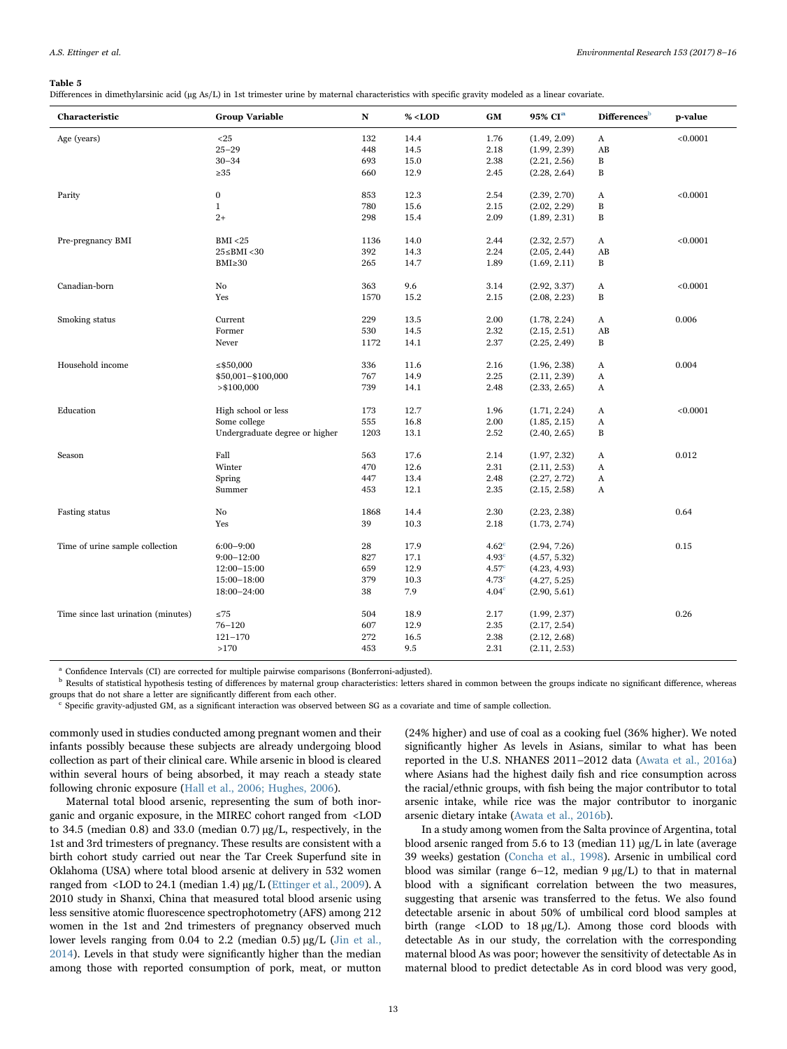#### <span id="page-5-0"></span>Table 5

Differences in dimethylarsinic acid (µg As/L) in 1st trimester urine by maternal characteristics with specific gravity modeled as a linear covariate.

| Characteristic                      | <b>Group Variable</b>          | $\mathbf N$ | $\%$ <lod< th=""><th><b>GM</b></th><th>95% CI<sup>a</sup></th><th>Differences</th><th>p-value</th></lod<> | <b>GM</b>         | 95% CI <sup>a</sup> | Differences  | p-value  |
|-------------------------------------|--------------------------------|-------------|-----------------------------------------------------------------------------------------------------------|-------------------|---------------------|--------------|----------|
| Age (years)                         | $25$                           | 132         | 14.4                                                                                                      | 1.76              | (1.49, 2.09)        | $\bf{A}$     | < 0.0001 |
|                                     | $25 - 29$                      | 448         | 14.5                                                                                                      | 2.18              | (1.99, 2.39)        | AB           |          |
|                                     | $30 - 34$                      | 693         | 15.0                                                                                                      | 2.38              | (2.21, 2.56)        | $\, {\bf B}$ |          |
|                                     | $\geq 35$                      | 660         | 12.9                                                                                                      | 2.45              | (2.28, 2.64)        | $\, {\bf B}$ |          |
| Parity                              | $\boldsymbol{0}$               | 853         | 12.3                                                                                                      | 2.54              | (2.39, 2.70)        | A            | < 0.0001 |
|                                     | $\mathbf{1}$                   | 780         | 15.6                                                                                                      | 2.15              | (2.02, 2.29)        | $\, {\bf B}$ |          |
|                                     | $2+$                           | 298         | 15.4                                                                                                      | 2.09              | (1.89, 2.31)        | $\, {\bf B}$ |          |
| Pre-pregnancy BMI                   | <b>BMI</b> <25                 | 1136        | 14.0                                                                                                      | 2.44              | (2.32, 2.57)        | A            | < 0.0001 |
|                                     | $25 \leq BMI < 30$             | 392         | 14.3                                                                                                      | 2.24              | (2.05, 2.44)        | AB           |          |
|                                     | $BMI \geq 30$                  | 265         | 14.7                                                                                                      | 1.89              | (1.69, 2.11)        | B            |          |
|                                     |                                |             |                                                                                                           |                   |                     |              |          |
| Canadian-born                       | No                             | 363         | 9.6                                                                                                       | 3.14              | (2.92, 3.37)        | A            | < 0.0001 |
|                                     | Yes                            | 1570        | 15.2                                                                                                      | 2.15              | (2.08, 2.23)        | $\, {\bf B}$ |          |
| Smoking status                      | Current                        | 229         | 13.5                                                                                                      | 2.00              | (1.78, 2.24)        | A            | 0.006    |
|                                     | Former                         | 530         | 14.5                                                                                                      | 2.32              | (2.15, 2.51)        | AB           |          |
|                                     | Never                          | 1172        | 14.1                                                                                                      | 2.37              | (2.25, 2.49)        | B            |          |
| Household income                    | $\leq$ \$50,000                | 336         | 11.6                                                                                                      | 2.16              | (1.96, 2.38)        | A            | 0.004    |
|                                     | \$50,001-\$100,000             | 767         | 14.9                                                                                                      | 2.25              | (2.11, 2.39)        | $\bf{A}$     |          |
|                                     | > \$100,000                    | 739         | 14.1                                                                                                      | 2.48              | (2.33, 2.65)        | A            |          |
| Education                           | High school or less            | 173         | 12.7                                                                                                      | 1.96              | (1.71, 2.24)        | A            | < 0.0001 |
|                                     | Some college                   | 555         | 16.8                                                                                                      | 2.00              | (1.85, 2.15)        | A            |          |
|                                     | Undergraduate degree or higher | 1203        | 13.1                                                                                                      | 2.52              | (2.40, 2.65)        | $\, {\bf B}$ |          |
|                                     |                                |             |                                                                                                           |                   |                     |              |          |
| Season                              | Fall                           | 563         | 17.6                                                                                                      | 2.14              | (1.97, 2.32)        | A            | 0.012    |
|                                     | Winter                         | 470         | 12.6                                                                                                      | 2.31              | (2.11, 2.53)        | A            |          |
|                                     | Spring                         | 447         | 13.4                                                                                                      | 2.48              | (2.27, 2.72)        | A            |          |
|                                     | Summer                         | 453         | 12.1                                                                                                      | 2.35              | (2.15, 2.58)        | A            |          |
| Fasting status                      | No                             | 1868        | 14.4                                                                                                      | 2.30              | (2.23, 2.38)        |              | 0.64     |
|                                     | Yes                            | 39          | 10.3                                                                                                      | 2.18              | (1.73, 2.74)        |              |          |
| Time of urine sample collection     | $6:00 - 9:00$                  | 28          | 17.9                                                                                                      | 4.62 <sup>c</sup> | (2.94, 7.26)        |              | 0.15     |
|                                     | $9:00 - 12:00$                 | 827         | 17.1                                                                                                      | 4.93 <sup>c</sup> | (4.57, 5.32)        |              |          |
|                                     | $12:00 - 15:00$                | 659         | 12.9                                                                                                      | 4.57 <sup>c</sup> | (4.23, 4.93)        |              |          |
|                                     | 15:00-18:00                    | 379         | 10.3                                                                                                      | 4.73 <sup>c</sup> | (4.27, 5.25)        |              |          |
|                                     | 18:00-24:00                    | 38          | 7.9                                                                                                       | 4.04 <sup>c</sup> | (2.90, 5.61)        |              |          |
| Time since last urination (minutes) | $\leq 75$                      | 504         | 18.9                                                                                                      | 2.17              | (1.99, 2.37)        |              | 0.26     |
|                                     | $76 - 120$                     | 607         | 12.9                                                                                                      | 2.35              | (2.17, 2.54)        |              |          |
|                                     | $121 - 170$                    | 272         | 16.5                                                                                                      | 2.38              | (2.12, 2.68)        |              |          |
|                                     | >170                           | 453         | 9.5                                                                                                       | 2.31              | (2.11, 2.53)        |              |          |
|                                     |                                |             |                                                                                                           |                   |                     |              |          |

Confidence Intervals (CI) are corrected for multiple pairwise comparisons (Bonferroni-adjusted).

<sup>b</sup> Results of statistical hypothesis testing of differences by maternal group characteristics: letters shared in common between the groups indicate no significant difference, whereas groups that do not share a letter are significantly different from each other.

<sup>c</sup> Specific gravity-adjusted GM, as a significant interaction was observed between SG as a covariate and time of sample collection.

commonly used in studies conducted among pregnant women and their infants possibly because these subjects are already undergoing blood collection as part of their clinical care. While arsenic in blood is cleared within several hours of being absorbed, it may reach a steady state following chronic exposure ([Hall et al., 2006; Hughes, 2006\)](#page-7-23).

Maternal total blood arsenic, representing the sum of both inorganic and organic exposure, in the MIREC cohort ranged from <LOD to 34.5 (median 0.8) and 33.0 (median 0.7) µg/L, respectively, in the 1st and 3rd trimesters of pregnancy. These results are consistent with a birth cohort study carried out near the Tar Creek Superfund site in Oklahoma (USA) where total blood arsenic at delivery in 532 women ranged from <LOD to 24.1 (median 1.4) µg/L ([Ettinger et al., 2009](#page-7-7)). A 2010 study in Shanxi, China that measured total blood arsenic using less sensitive atomic fluorescence spectrophotometry (AFS) among 212 women in the 1st and 2nd trimesters of pregnancy observed much lower levels ranging from 0.04 to 2.2 (median  $(0.5) \mu g/L$  [\(Jin et al.,](#page-7-24) [2014\)](#page-7-24). Levels in that study were significantly higher than the median among those with reported consumption of pork, meat, or mutton

(24% higher) and use of coal as a cooking fuel (36% higher). We noted significantly higher As levels in Asians, similar to what has been reported in the U.S. NHANES 2011–2012 data [\(Awata et al., 2016a\)](#page-7-25) where Asians had the highest daily fish and rice consumption across the racial/ethnic groups, with fish being the major contributor to total arsenic intake, while rice was the major contributor to inorganic arsenic dietary intake [\(Awata et al., 2016b](#page-7-26)).

In a study among women from the Salta province of Argentina, total blood arsenic ranged from 5.6 to 13 (median 11)  $\mu$ g/L in late (average 39 weeks) gestation [\(Concha et al., 1998\)](#page-7-27). Arsenic in umbilical cord blood was similar (range  $6-12$ , median  $9 \mu g/L$ ) to that in maternal blood with a significant correlation between the two measures, suggesting that arsenic was transferred to the fetus. We also found detectable arsenic in about 50% of umbilical cord blood samples at birth (range  $\langle$ LOD to 18  $\mu$ g/L). Among those cord bloods with detectable As in our study, the correlation with the corresponding maternal blood As was poor; however the sensitivity of detectable As in maternal blood to predict detectable As in cord blood was very good,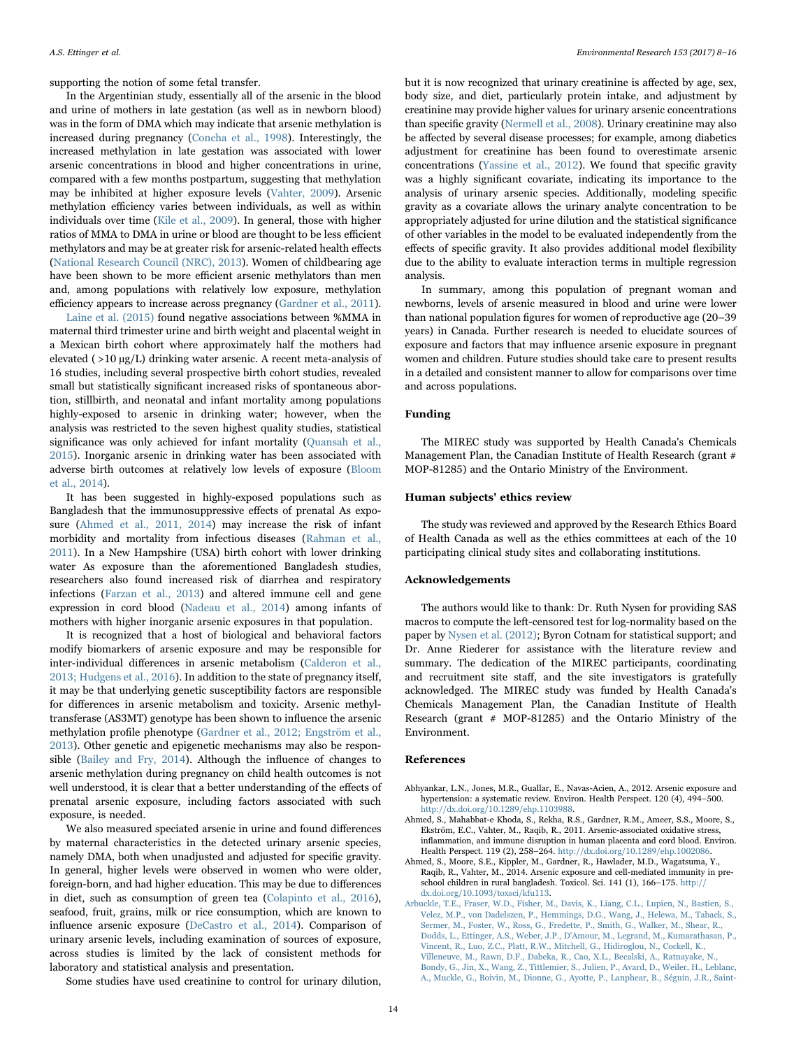supporting the notion of some fetal transfer.

In the Argentinian study, essentially all of the arsenic in the blood and urine of mothers in late gestation (as well as in newborn blood) was in the form of DMA which may indicate that arsenic methylation is increased during pregnancy [\(Concha et al., 1998\)](#page-7-27). Interestingly, the increased methylation in late gestation was associated with lower arsenic concentrations in blood and higher concentrations in urine, compared with a few months postpartum, suggesting that methylation may be inhibited at higher exposure levels ([Vahter, 2009\)](#page-8-4). Arsenic methylation efficiency varies between individuals, as well as within individuals over time [\(Kile et al., 2009\)](#page-7-28). In general, those with higher ratios of MMA to DMA in urine or blood are thought to be less efficient methylators and may be at greater risk for arsenic-related health effects ([National Research Council \(NRC\), 2013](#page-7-0)). Women of childbearing age have been shown to be more efficient arsenic methylators than men and, among populations with relatively low exposure, methylation efficiency appears to increase across pregnancy [\(Gardner et al., 2011\)](#page-7-29).

[Laine et al. \(2015\)](#page-7-30) found negative associations between %MMA in maternal third trimester urine and birth weight and placental weight in a Mexican birth cohort where approximately half the mothers had elevated ( >10 µg/L) drinking water arsenic. A recent meta-analysis of 16 studies, including several prospective birth cohort studies, revealed small but statistically significant increased risks of spontaneous abortion, stillbirth, and neonatal and infant mortality among populations highly-exposed to arsenic in drinking water; however, when the analysis was restricted to the seven highest quality studies, statistical significance was only achieved for infant mortality [\(Quansah et al.,](#page-7-31) [2015\)](#page-7-31). Inorganic arsenic in drinking water has been associated with adverse birth outcomes at relatively low levels of exposure ([Bloom](#page-7-32) [et al., 2014](#page-7-32)).

It has been suggested in highly-exposed populations such as Bangladesh that the immunosuppressive effects of prenatal As exposure ([Ahmed et al., 2011, 2014](#page-6-2)) may increase the risk of infant morbidity and mortality from infectious diseases ([Rahman et al.,](#page-7-33) [2011\)](#page-7-33). In a New Hampshire (USA) birth cohort with lower drinking water As exposure than the aforementioned Bangladesh studies, researchers also found increased risk of diarrhea and respiratory infections [\(Farzan et al., 2013](#page-7-34)) and altered immune cell and gene expression in cord blood ([Nadeau et al., 2014](#page-7-35)) among infants of mothers with higher inorganic arsenic exposures in that population.

It is recognized that a host of biological and behavioral factors modify biomarkers of arsenic exposure and may be responsible for inter-individual differences in arsenic metabolism ([Calderon et al.,](#page-7-36) [2013; Hudgens et al., 2016\)](#page-7-36). In addition to the state of pregnancy itself, it may be that underlying genetic susceptibility factors are responsible for differences in arsenic metabolism and toxicity. Arsenic methyltransferase (AS3MT) genotype has been shown to influence the arsenic methylation profile phenotype ([Gardner et al., 2012; Engström et al.,](#page-7-37) [2013\)](#page-7-37). Other genetic and epigenetic mechanisms may also be responsible [\(Bailey and Fry, 2014](#page-7-38)). Although the influence of changes to arsenic methylation during pregnancy on child health outcomes is not well understood, it is clear that a better understanding of the effects of prenatal arsenic exposure, including factors associated with such exposure, is needed.

We also measured speciated arsenic in urine and found differences by maternal characteristics in the detected urinary arsenic species, namely DMA, both when unadjusted and adjusted for specific gravity. In general, higher levels were observed in women who were older, foreign-born, and had higher education. This may be due to differences in diet, such as consumption of green tea [\(Colapinto et al., 2016\)](#page-7-39), seafood, fruit, grains, milk or rice consumption, which are known to influence arsenic exposure [\(DeCastro et al., 2014\)](#page-7-40). Comparison of urinary arsenic levels, including examination of sources of exposure, across studies is limited by the lack of consistent methods for laboratory and statistical analysis and presentation.

Some studies have used creatinine to control for urinary dilution,

but it is now recognized that urinary creatinine is affected by age, sex, body size, and diet, particularly protein intake, and adjustment by creatinine may provide higher values for urinary arsenic concentrations than specific gravity [\(Nermell et al., 2008](#page-7-41)). Urinary creatinine may also be affected by several disease processes; for example, among diabetics adjustment for creatinine has been found to overestimate arsenic concentrations [\(Yassine et al., 2012\)](#page-8-6). We found that specific gravity was a highly significant covariate, indicating its importance to the analysis of urinary arsenic species. Additionally, modeling specific gravity as a covariate allows the urinary analyte concentration to be appropriately adjusted for urine dilution and the statistical significance of other variables in the model to be evaluated independently from the effects of specific gravity. It also provides additional model flexibility due to the ability to evaluate interaction terms in multiple regression analysis.

In summary, among this population of pregnant woman and newborns, levels of arsenic measured in blood and urine were lower than national population figures for women of reproductive age (20–39 years) in Canada. Further research is needed to elucidate sources of exposure and factors that may influence arsenic exposure in pregnant women and children. Future studies should take care to present results in a detailed and consistent manner to allow for comparisons over time and across populations.

## Funding

The MIREC study was supported by Health Canada's Chemicals Management Plan, the Canadian Institute of Health Research (grant # MOP-81285) and the Ontario Ministry of the Environment.

#### Human subjects' ethics review

The study was reviewed and approved by the Research Ethics Board of Health Canada as well as the ethics committees at each of the 10 participating clinical study sites and collaborating institutions.

#### Acknowledgements

The authors would like to thank: Dr. Ruth Nysen for providing SAS macros to compute the left-censored test for log-normality based on the paper by [Nysen et al. \(2012\)](#page-7-42); Byron Cotnam for statistical support; and Dr. Anne Riederer for assistance with the literature review and summary. The dedication of the MIREC participants, coordinating and recruitment site staff, and the site investigators is gratefully acknowledged. The MIREC study was funded by Health Canada's Chemicals Management Plan, the Canadian Institute of Health Research (grant # MOP-81285) and the Ontario Ministry of the Environment.

#### References

- <span id="page-6-0"></span>Abhyankar, L.N., Jones, M.R., Guallar, E., Navas-Acien, A., 2012. Arsenic exposure and hypertension: a systematic review. Environ. Health Perspect. 120 (4), 494–500. <http://dx.doi.org/10.1289/ehp.1103988>.
- <span id="page-6-2"></span>Ahmed, S., Mahabbat-e Khoda, S., Rekha, R.S., Gardner, R.M., Ameer, S.S., Moore, S., Ekström, E.C., Vahter, M., Raqib, R., 2011. Arsenic-associated oxidative stress, inflammation, and immune disruption in human placenta and cord blood. Environ. Health Perspect. 119 (2), 258–264. <http://dx.doi.org/10.1289/ehp.1002086>.
- Ahmed, S., Moore, S.E., Kippler, M., Gardner, R., Hawlader, M.D., Wagatsuma, Y., Raqib, R., Vahter, M., 2014. Arsenic exposure and cell-mediated immunity in preschool children in rural bangladesh. Toxicol. Sci. 141 (1), 166–175. [http://](http://dx.doi.org/10.1093/toxsci/kfu113) [dx.doi.org/10.1093/toxsci/kfu113.](http://dx.doi.org/10.1093/toxsci/kfu113)
- <span id="page-6-1"></span>[Arbuckle, T.E., Fraser, W.D., Fisher, M., Davis, K., Liang, C.L., Lupien, N., Bastien, S.,](http://refhub.elsevier.com/S0013-16)30453-sbref4) [Velez, M.P., von Dadelszen, P., Hemmings, D.G., Wang, J., Helewa, M., Taback, S.,](http://refhub.elsevier.com/S0013-16)30453-sbref4) [Sermer, M., Foster, W., Ross, G., Fredette, P., Smith, G., Walker, M., Shear, R.,](http://refhub.elsevier.com/S0013-16)30453-sbref4) [Dodds, L., Ettinger, A.S., Weber, J.P., D'Amour, M., Legrand, M., Kumarathasan, P.,](http://refhub.elsevier.com/S0013-16)30453-sbref4) [Vincent, R., Luo, Z.C., Platt, R.W., Mitchell, G., Hidiroglou, N., Cockell, K.,](http://refhub.elsevier.com/S0013-16)30453-sbref4) [Villeneuve, M., Rawn, D.F., Dabeka, R., Cao, X.L., Becalski, A., Ratnayake, N.,](http://refhub.elsevier.com/S0013-16)30453-sbref4) [Bondy, G., Jin, X., Wang, Z., Tittlemier, S., Julien, P., Avard, D., Weiler, H., Leblanc,](http://refhub.elsevier.com/S0013-16)30453-sbref4) [A., Muckle, G., Boivin, M., Dionne, G., Ayotte, P., Lanphear, B., Séguin, J.R., Saint-](http://refhub.elsevier.com/S0013-16)30453-sbref4)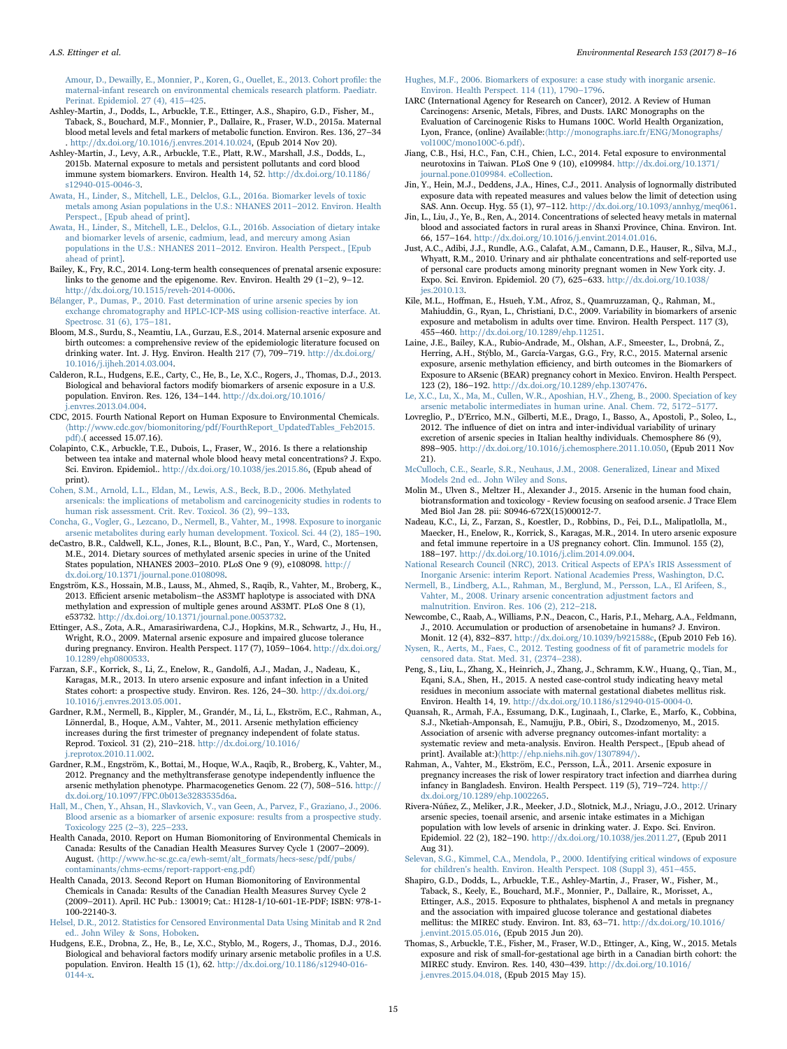[Amour, D., Dewailly, E., Monnier, P., Koren, G., Ouellet, E., 2013. Cohort pro](http://refhub.elsevier.com/S0013-16)30453-sbref4)file: the [maternal-infant research on environmental chemicals research platform. Paediatr.](http://refhub.elsevier.com/S0013-16)30453-sbref4) [Perinat. Epidemiol. 27 \(4\), 415](http://refhub.elsevier.com/S0013-16)30453-sbref4)–425.

- <span id="page-7-10"></span>Ashley-Martin, J., Dodds, L., Arbuckle, T.E., Ettinger, A.S., Shapiro, G.D., Fisher, M., Taback, S., Bouchard, M.F., Monnier, P., Dallaire, R., Fraser, W.D., 2015a. Maternal blood metal levels and fetal markers of metabolic function. Environ. Res. 136, 27–34 . [http://dx.doi.org/10.1016/j.envres.2014.10.024, \(Epub 2014 Nov 20\).](http://dx.doi.org/10.1016/j.envres.2014.10.024)
- <span id="page-7-11"></span>Ashley-Martin, J., Levy, A.R., Arbuckle, T.E., Platt, R.W., Marshall, J.S., Dodds, L., 2015b. Maternal exposure to metals and persistent pollutants and cord blood immune system biomarkers. Environ. Health 14, 52. [http://dx.doi.org/10.1186/](http://dx.doi.org/10.1186/s12940-0046-,0,0,2) [s12940-015-0046-3](http://dx.doi.org/10.1186/s12940-0046-,0,0,2).

<span id="page-7-25"></span>[Awata, H., Linder, S., Mitchell, L.E., Delclos, G.L., 2016a. Biomarker levels of toxic](http://refhub.elsevier.com/S0013-16)30453-sbref7) [metals among Asian populations in the U.S.: NHANES 2011](http://refhub.elsevier.com/S0013-16)30453-sbref7)–2012. Environ. Health [Perspect., \[Epub ahead of print\].](http://refhub.elsevier.com/S0013-16)30453-sbref7)

<span id="page-7-26"></span>[Awata, H., Linder, S., Mitchell, L.E., Delclos, G.L., 2016b. Association of dietary intake](http://refhub.elsevier.com/S0013-16)30453-sbref8) [and biomarker levels of arsenic, cadmium, lead, and mercury among Asian](http://refhub.elsevier.com/S0013-16)30453-sbref8) [populations in the U.S.: NHANES 2011](http://refhub.elsevier.com/S0013-16)30453-sbref8)–2012. Environ. Health Perspect., [Epub [ahead of print\].](http://refhub.elsevier.com/S0013-16)30453-sbref8)

<span id="page-7-38"></span>Bailey, K., Fry, R.C., 2014. Long-term health consequences of prenatal arsenic exposure: links to the genome and the epigenome. Rev. Environ. Health 29 (1–2), 9–12. [http://dx.doi.org/10.1515/reveh-2014-0006](http://dx.doi.org/10.1515/reveh-0006).

<span id="page-7-13"></span>[Bélanger, P., Dumas, P., 2010. Fast determination of urine arsenic species by ion](http://refhub.elsevier.com/S0013-16)30453-sbref10) [exchange chromatography and HPLC-ICP-MS using collision-reactive interface. At.](http://refhub.elsevier.com/S0013-16)30453-sbref10) [Spectrosc. 31 \(6\), 175](http://refhub.elsevier.com/S0013-16)30453-sbref10)–181.

<span id="page-7-32"></span>Bloom, M.S., Surdu, S., Neamtiu, I.A., Gurzau, E.S., 2014. Maternal arsenic exposure and birth outcomes: a comprehensive review of the epidemiologic literature focused on drinking water. Int. J. Hyg. Environ. Health  $217(7)$ , 709–719. [http://dx.doi.org/](http://dx.doi.org/10.1016/j.ijheh.2014.03.004) [10.1016/j.ijheh.2014.03.004](http://dx.doi.org/10.1016/j.ijheh.2014.03.004).

<span id="page-7-36"></span>Calderon, R.L., Hudgens, E.E., Carty, C., He, B., Le, X.C., Rogers, J., Thomas, D.J., 2013. Biological and behavioral factors modify biomarkers of arsenic exposure in a U.S. population. Environ. Res. 126, 134–144. [http://dx.doi.org/10.1016/](http://dx.doi.org/10.1016/j.envres.2013.04.004) envres.2013.04.004.

<span id="page-7-19"></span>CDC, 2015. Fourth National Report on Human Exposure to Environmental Chemicals. 〈[http://www.cdc.gov/biomonitoring/pdf/FourthReport\\_UpdatedTables\\_Feb2015.](http://www.cdc.gov/biomonitoring/pdf/FourthReport_UpdatedTables_Feb2015.pdf) [pdf](http://www.cdc.gov/biomonitoring/pdf/FourthReport_UpdatedTables_Feb2015.pdf)〉.( accessed 15.07.16).

<span id="page-7-39"></span>Colapinto, C.K., Arbuckle, T.E., Dubois, L., Fraser, W., 2016. Is there a relationship between tea intake and maternal whole blood heavy metal concentrations? J. Expo. Sci. Environ. Epidemiol.. [http://dx.doi.org/10.1038/jes.2015.86, \(Epub ahead of](http://dx.doi.org/10.1038/jes.2015.86) [print\)](http://dx.doi.org/10.1038/jes.2015.86).

<span id="page-7-2"></span>[Cohen, S.M., Arnold, L.L., Eldan, M., Lewis, A.S., Beck, B.D., 2006. Methylated](http://refhub.elsevier.com/S0013-16)30453-sbref14) [arsenicals: the implications of metabolism and carcinogenicity studies in rodents to](http://refhub.elsevier.com/S0013-16)30453-sbref14) [human risk assessment. Crit. Rev. Toxicol. 36 \(2\), 99](http://refhub.elsevier.com/S0013-16)30453-sbref14)–133.

<span id="page-7-27"></span>[Concha, G., Vogler, G., Lezcano, D., Nermell, B., Vahter, M., 1998. Exposure to inorganic](http://refhub.elsevier.com/S0013-16)30453-sbref15) [arsenic metabolites during early human development. Toxicol. Sci. 44 \(2\), 185](http://refhub.elsevier.com/S0013-16)30453-sbref15)–190.

<span id="page-7-40"></span>deCastro, B.R., Caldwell, K.L., Jones, R.L., Blount, B.C., Pan, Y., Ward, C., Mortensen, M.E., 2014. Dietary sources of methylated arsenic species in urine of the United States population, NHANES 2003–2010. PLoS One 9 (9), e108098. [http://](http://dx.doi.org/10.1371/journal.pone.0108098) [dx.doi.org/10.1371/journal.pone.0108098](http://dx.doi.org/10.1371/journal.pone.0108098).

Engström, K.S., Hossain, M.B., Lauss, M., Ahmed, S., Raqib, R., Vahter, M., Broberg, K., 2013. Efficient arsenic metabolism–the AS3MT haplotype is associated with DNA methylation and expression of multiple genes around AS3MT. PLoS One 8 (1), e53732. [http://dx.doi.org/10.1371/journal.pone.0053732.](http://dx.doi.org/10.1371/journal.pone.0053732)

<span id="page-7-7"></span>Ettinger, A.S., Zota, A.R., Amarasiriwardena, C.J., Hopkins, M.R., Schwartz, J., Hu, H., Wright, R.O., 2009. Maternal arsenic exposure and impaired glucose tolerance during pregnancy. Environ. Health Perspect. 117 (7), 1059–1064. [http://dx.doi.org/](http://dx.doi.org/10.1289/ehp0800533) [10.1289/ehp0800533](http://dx.doi.org/10.1289/ehp0800533).

<span id="page-7-34"></span>Farzan, S.F., Korrick, S., Li, Z., Enelow, R., Gandolfi, A.J., Madan, J., Nadeau, K., Karagas, M.R., 2013. In utero arsenic exposure and infant infection in a United States cohort: a prospective study. Environ. Res. 126, 24–30. [http://dx.doi.org/](http://dx.doi.org/10.1016/j.envres.2013.05.001) [10.1016/j.envres.2013.05.001](http://dx.doi.org/10.1016/j.envres.2013.05.001).

<span id="page-7-29"></span>Gardner, R.M., Nermell, B., Kippler, M., Grandér, M., Li, L., Ekström, E.C., Rahman, A., Lönnerdal, B., Hoque, A.M., Vahter, M., 2011. Arsenic methylation efficiency increases during the first trimester of pregnancy independent of folate status. Reprod. Toxicol. 31 (2), 210–218. [http://dx.doi.org/10.1016/](http://dx.doi.org/10.1016/j.reprotox.2010.11.002) [j.reprotox.2010.11.002.](http://dx.doi.org/10.1016/j.reprotox.2010.11.002)

<span id="page-7-37"></span>Gardner, R.M., Engström, K., Bottai, M., Hoque, W.A., Raqib, R., Broberg, K., Vahter, M., 2012. Pregnancy and the methyltransferase genotype independently influence the arsenic methylation phenotype. Pharmacogenetics Genom. 22 (7), 508–516. [http://](http://dx.doi.org/10.1097/FPC.0b013e3283535d6a) [dx.doi.org/10.1097/FPC.0b013e3283535d6a.](http://dx.doi.org/10.1097/FPC.0b013e3283535d6a)

<span id="page-7-23"></span>[Hall, M., Chen, Y., Ahsan, H., Slavkovich, V., van Geen, A., Parvez, F., Graziano, J., 2006.](http://refhub.elsevier.com/S0013-16)30453-sbref22) [Blood arsenic as a biomarker of arsenic exposure: results from a prospective study.](http://refhub.elsevier.com/S0013-16)30453-sbref22) [Toxicology 225 \(2](http://refhub.elsevier.com/S0013-16)30453-sbref22)–3), 225–233.

<span id="page-7-20"></span>Health Canada, 2010. Report on Human Biomonitoring of Environmental Chemicals in Canada: Results of the Canadian Health Measures Survey Cycle 1 (2007–2009). August. 〈[http://www.hc-sc.gc.ca/ewh-semt/alt\\_formats/hecs-sesc/pdf/pubs/](http://www.hc-c.gc.ca/ewh-emt/alt_formats/hecs-esc/pdf/pubs/contaminants/chmscms/report-apportng.pdf) [contaminants/chms-ecms/report-rapport-eng.pdf](http://www.hc-c.gc.ca/ewh-emt/alt_formats/hecs-esc/pdf/pubs/contaminants/chmscms/report-apportng.pdf)〉

<span id="page-7-18"></span>Health Canada, 2013. Second Report on Human Biomonitoring of Environmental Chemicals in Canada: Results of the Canadian Health Measures Survey Cycle 2 (2009–2011). April. HC Pub.: 130019; Cat.: H128-1/10-601-1E-PDF; ISBN: 978-1- 100-22140-3.

<span id="page-7-14"></span>[Helsel, D.R., 2012. Statistics for Censored Environmental Data Using Minitab and R 2nd](http://refhub.elsevier.com/S0013-16)30453-sbref23) [ed.. John Wiley & Sons, Hoboken.](http://refhub.elsevier.com/S0013-16)30453-sbref23)

Hudgens, E.E., Drobna, Z., He, B., Le, X.C., Styblo, M., Rogers, J., Thomas, D.J., 2016. Biological and behavioral factors modify urinary arsenic metabolic profiles in a U.S. population. Environ. Health 15 (1), 62. [http://dx.doi.org/10.1186/s12940-016-](http://dx.doi.org/10.1186/s12940-0144) [0144-x.](http://dx.doi.org/10.1186/s12940-0144)

[Hughes, M.F., 2006. Biomarkers of exposure: a case study with inorganic arsenic.](http://refhub.elsevier.com/S0013-16)30453-sbref25) [Environ. Health Perspect. 114 \(11\), 1790](http://refhub.elsevier.com/S0013-16)30453-sbref25)–1796.

- <span id="page-7-6"></span>IARC (International Agency for Research on Cancer), 2012. A Review of Human Carcinogens: Arsenic, Metals, Fibres, and Dusts. IARC Monographs on the Evaluation of Carcinogenic Risks to Humans 100C. World Health Organization, Lyon, France, (online) Available:〈[http://monographs.iarc.fr/ENG/Monographs/](http://monographs.iarc.fr/ENG/Monographs/vol100C/mono100Cpdf) [vol100C/mono100C-6.pdf](http://monographs.iarc.fr/ENG/Monographs/vol100C/mono100Cpdf)〉.
- <span id="page-7-21"></span>Jiang, C.B., Hsi, H.C., Fan, C.H., Chien, L.C., 2014. Fetal exposure to environmental neurotoxins in Taiwan. PLoS One 9 (10), e109984. [http://dx.doi.org/10.1371/](http://dx.doi.org/10.1371/journal.pone.0109984. eCollection) [journal.pone.0109984. eCollection.](http://dx.doi.org/10.1371/journal.pone.0109984. eCollection)

<span id="page-7-16"></span>Jin, Y., Hein, M.J., Deddens, J.A., Hines, C.J., 2011. Analysis of lognormally distributed exposure data with repeated measures and values below the limit of detection using SAS. Ann. Occup. Hyg. 55 (1), 97–112. [http://dx.doi.org/10.1093/annhyg/meq061.](http://dx.doi.org/10.1093/annhyg/meq061)

<span id="page-7-24"></span>Jin, L., Liu, J., Ye, B., Ren, A., 2014. Concentrations of selected heavy metals in maternal blood and associated factors in rural areas in Shanxi Province, China. Environ. Int. 66, 157–164. [http://dx.doi.org/10.1016/j.envint.2014.01.016.](http://dx.doi.org/10.1016/j.envint.2014.01.016)

<span id="page-7-15"></span>Just, A.C., Adibi, J.J., Rundle, A.G., Calafat, A.M., Camann, D.E., Hauser, R., Silva, M.J., Whyatt, R.M., 2010. Urinary and air phthalate concentrations and self-reported use of personal care products among minority pregnant women in New York city. J. Expo. Sci. Environ. Epidemiol. 20 (7), 625–633. [http://dx.doi.org/10.1038/](http://dx.doi.org/10.1038/jes.2010.13) [jes.2010.13](http://dx.doi.org/10.1038/jes.2010.13).

<span id="page-7-28"></span>Kile, M.L., Hoffman, E., Hsueh, Y.M., Afroz, S., Quamruzzaman, Q., Rahman, M., Mahiuddin, G., Ryan, L., Christiani, D.C., 2009. Variability in biomarkers of arsenic exposure and metabolism in adults over time. Environ. Health Perspect. 117 (3), 455–460. [http://dx.doi.org/10.1289/ehp.11251.](http://dx.doi.org/10.1289/ehp.11251)

<span id="page-7-30"></span>Laine, J.E., Bailey, K.A., Rubio-Andrade, M., Olshan, A.F., Smeester, L., Drobná, Z., Herring, A.H., Stýblo, M., García-Vargas, G.G., Fry, R.C., 2015. Maternal arsenic exposure, arsenic methylation efficiency, and birth outcomes in the Biomarkers of Exposure to ARsenic (BEAR) pregnancy cohort in Mexico. Environ. Health Perspect. 123 (2), 186–192. <http://dx.doi.org/10.1289/ehp.1307476>.

<span id="page-7-1"></span>[Le, X.C., Lu, X., Ma, M., Cullen, W.R., Aposhian, H.V., Zheng, B., 2000. Speciation of key](http://refhub.elsevier.com/S0013-16)30453-sbref33) [arsenic metabolic intermediates in human urine. Anal. Chem. 72, 5172](http://refhub.elsevier.com/S0013-16)30453-sbref33)–5177.

<span id="page-7-3"></span>Lovreglio, P., D'Errico, M.N., Gilberti, M.E., Drago, I., Basso, A., Apostoli, P., Soleo, L., 2012. The influence of diet on intra and inter-individual variability of urinary excretion of arsenic species in Italian healthy individuals. Chemosphere 86 (9), 898–905. [http://dx.doi.org/10.1016/j.chemosphere.2011.10.050, \(Epub 2011 Nov](http://dx.doi.org/10.1016/j.chemosphere.2011.10.050) [21\)](http://dx.doi.org/10.1016/j.chemosphere.2011.10.050).

<span id="page-7-17"></span>[McCulloch, C.E., Searle, S.R., Neuhaus, J.M., 2008. Generalized, Linear and Mixed](http://refhub.elsevier.com/S0013-16)30453-sbref35) [Models 2nd ed.. John Wiley and Sons.](http://refhub.elsevier.com/S0013-16)30453-sbref35)

<span id="page-7-4"></span>Molin M., Ulven S., Meltzer H., Alexander J., 2015. Arsenic in the human food chain, biotransformation and toxicology - Review focusing on seafood arsenic. J Trace Elem Med Biol Jan 28. pii: S0946-672X(15)00012-7.

<span id="page-7-35"></span>Nadeau, K.C., Li, Z., Farzan, S., Koestler, D., Robbins, D., Fei, D.L., Malipatlolla, M., Maecker, H., Enelow, R., Korrick, S., Karagas, M.R., 2014. In utero arsenic exposure and fetal immune repertoire in a US pregnancy cohort. Clin. Immunol. 155 (2), 188–197. [http://dx.doi.org/10.1016/j.clim.2014.09.004.](http://dx.doi.org/10.1016/j.clim.2014.09.004)

<span id="page-7-0"></span>[National Research Council \(NRC\), 2013. Critical Aspects of EPA's IRIS Assessment of](http://refhub.elsevier.com/S0013-16)30453-sbref37) [Inorganic Arsenic: interim Report. National Academies Press, Washington, D.C](http://refhub.elsevier.com/S0013-16)30453-sbref37).

<span id="page-7-41"></span>[Nermell, B., Lindberg, A.L., Rahman, M., Berglund, M., Persson, L.A., El Arifeen, S.,](http://refhub.elsevier.com/S0013-16)30453-sbref38) [Vahter, M., 2008. Urinary arsenic concentration adjustment factors and](http://refhub.elsevier.com/S0013-16)30453-sbref38) [malnutrition. Environ. Res. 106 \(2\), 212](http://refhub.elsevier.com/S0013-16)30453-sbref38)–218.

<span id="page-7-5"></span>Newcombe, C., Raab, A., Williams, P.N., Deacon, C., Haris, P.I., Meharg, A.A., Feldmann, J., 2010. Accumulation or production of arsenobetaine in humans? J. Environ. Monit. 12 (4), 832–837. [http://dx.doi.org/10.1039/b921588c, \(Epub 2010 Feb 16\).](http://dx.doi.org/10.1039/b921588c)

<span id="page-7-42"></span>[Nysen, R., Aerts, M., Faes, C., 2012. Testing goodness of](http://refhub.elsevier.com/S0013-16)30453-sbref40) fit of parametric models for [censored data. Stat. Med. 31, \(2374](http://refhub.elsevier.com/S0013-16)30453-sbref40)–238).

<span id="page-7-22"></span>Peng, S., Liu, L., Zhang, X., Heinrich, J., Zhang, J., Schramm, K.W., Huang, Q., Tian, M., Eqani, S.A., Shen, H., 2015. A nested case-control study indicating heavy metal residues in meconium associate with maternal gestational diabetes mellitus risk. Environ. Health 14, 19. [http://dx.doi.org/10.1186/s12940-015-0004-0.](http://dx.doi.org/10.1186/s12940-0004-,0,0,2)

<span id="page-7-31"></span>Quansah, R., Armah, F.A., Essumang, D.K., Luginaah, I., Clarke, E., Marfo, K., Cobbina, S.J., Nketiah-Amponsah, E., Namujju, P.B., Obiri, S., Dzodzomenyo, M., 2015. Association of arsenic with adverse pregnancy outcomes-infant mortality: a systematic review and meta-analysis. Environ. Health Perspect., [Epub ahead of print]. Available at:)/<http://ehp.niehs.nih.gov/1307894/>

<span id="page-7-33"></span>Rahman, A., Vahter, M., Ekström, E.C., Persson, L.Å., 2011. Arsenic exposure in pregnancy increases the risk of lower respiratory tract infection and diarrhea during infancy in Bangladesh. Environ. Health Perspect. 119 (5), 719–724. [http://](http://dx.doi.org/10.1289/ehp.1002265) [dx.doi.org/10.1289/ehp.1002265.](http://dx.doi.org/10.1289/ehp.1002265)

Rivera-Núñez, Z., Meliker, J.R., Meeker, J.D., Slotnick, M.J., Nriagu, J.O., 2012. Urinary arsenic species, toenail arsenic, and arsenic intake estimates in a Michigan population with low levels of arsenic in drinking water. J. Expo. Sci. Environ. Epidemiol. 22 (2), 182–190. [http://dx.doi.org/10.1038/jes.2011.27, \(Epub 2011](http://dx.doi.org/10.1038/jes.2011.27) [Aug 31\)](http://dx.doi.org/10.1038/jes.2011.27).

<span id="page-7-8"></span>[Selevan, S.G., Kimmel, C.A., Mendola, P., 2000. Identifying critical windows of exposure](http://refhub.elsevier.com/S0013-16)30453-sbref45) [for children's health. Environ. Health Perspect. 108 \(Suppl 3\), 451](http://refhub.elsevier.com/S0013-16)30453-sbref45)–455.

<span id="page-7-12"></span>Shapiro, G.D., Dodds, L., Arbuckle, T.E., Ashley-Martin, J., Fraser, W., Fisher, M., Taback, S., Keely, E., Bouchard, M.F., Monnier, P., Dallaire, R., Morisset, A., Ettinger, A.S., 2015. Exposure to phthalates, bisphenol A and metals in pregnancy and the association with impaired glucose tolerance and gestational diabetes mellitus: the MIREC study. Environ. Int. 83, 63–71. [http://dx.doi.org/10.1016/](http://dx.doi.org/10.1016/j.envint.2015.05.016) [j.envint.2015.05.016, \(Epub 2015 Jun 20\).](http://dx.doi.org/10.1016/j.envint.2015.05.016)

<span id="page-7-9"></span>Thomas, S., Arbuckle, T.E., Fisher, M., Fraser, W.D., Ettinger, A., King, W., 2015. Metals exposure and risk of small-for-gestational age birth in a Canadian birth cohort: the MIREC study. Environ. Res. 140, 430–439. [http://dx.doi.org/10.1016/](http://dx.doi.org/10.1016/j.envres.2015.04.018) [j.envres.2015.04.018, \(Epub 2015 May 15\).](http://dx.doi.org/10.1016/j.envres.2015.04.018)